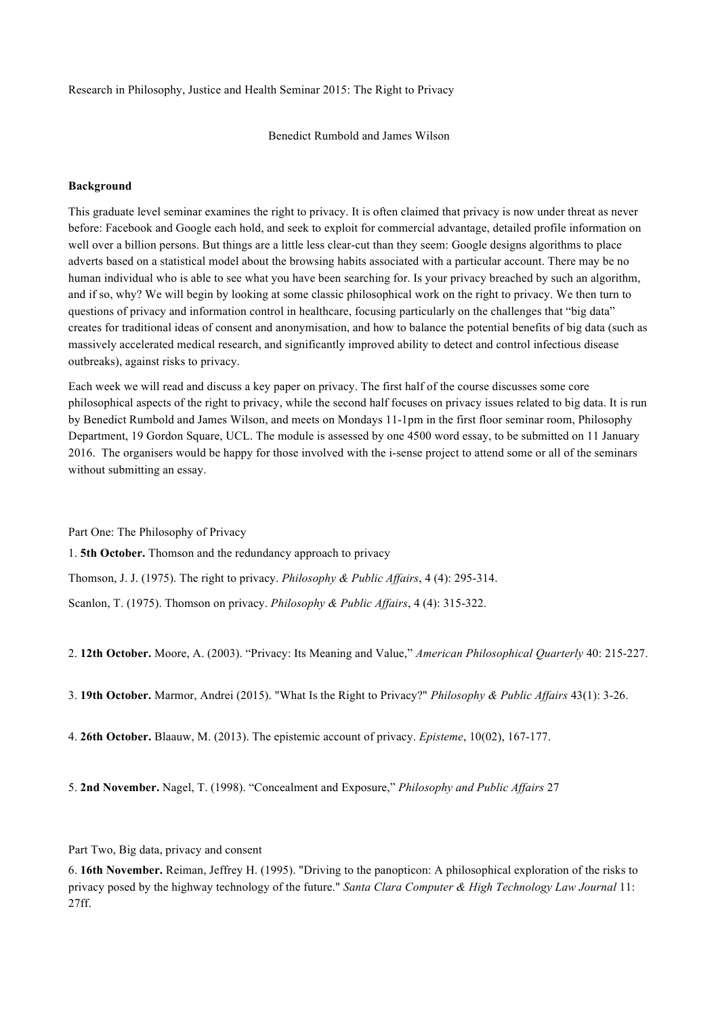Research in Philosophy, Justice and Health Seminar 2015: The Right to Privacy

Benedict Rumbold and James Wilson

## **Background**

This graduate level seminar examines the right to privacy. It is often claimed that privacy is now under threat as never before: Facebook and Google each hold, and seek to exploit for commercial advantage, detailed profile information on well over a billion persons. But things are a little less clear-cut than they seem: Google designs algorithms to place adverts based on a statistical model about the browsing habits associated with a particular account. There may be no human individual who is able to see what you have been searching for. Is your privacy breached by such an algorithm, and if so, why? We will begin by looking at some classic philosophical work on the right to privacy. We then turn to questions of privacy and information control in healthcare, focusing particularly on the challenges that "big data" creates for traditional ideas of consent and anonymisation, and how to balance the potential benefits of big data (such as massively accelerated medical research, and significantly improved ability to detect and control infectious disease outbreaks), against risks to privacy.

Each week we will read and discuss a key paper on privacy. The first half of the course discusses some core philosophical aspects of the right to privacy, while the second half focuses on privacy issues related to big data. It is run by Benedict Rumbold and James Wilson, and meets on Mondays 11-1pm in the first floor seminar room, Philosophy Department, 19 Gordon Square, UCL. The module is assessed by one 4500 word essay, to be submitted on 11 January 2016. The organisers would be happy for those involved with the i-sense project to attend some or all of the seminars without submitting an essay.

Part One: The Philosophy of Privacy

1. **5th October.** Thomson and the redundancy approach to privacy

Thomson, J. J. (1975). The right to privacy. *Philosophy & Public Affairs*, 4 (4): 295-314.

Scanlon, T. (1975). Thomson on privacy. *Philosophy & Public Affairs*, 4 (4): 315-322.

2. **12th October.** Moore, A. (2003). "Privacy: Its Meaning and Value," *American Philosophical Quarterly* 40: 215-227.

3. **19th October.** Marmor, Andrei (2015). "What Is the Right to Privacy?" *Philosophy & Public Affairs* 43(1): 3-26.

4. **26th October.** Blaauw, M. (2013). The epistemic account of privacy. *Episteme*, 10(02), 167-177.

5. **2nd November.** Nagel, T. (1998). "Concealment and Exposure," *Philosophy and Public Affairs* 27

Part Two, Big data, privacy and consent

6. **16th November.** Reiman, Jeffrey H. (1995). "Driving to the panopticon: A philosophical exploration of the risks to privacy posed by the highway technology of the future." *Santa Clara Computer & High Technology Law Journal* 11: 27ff.